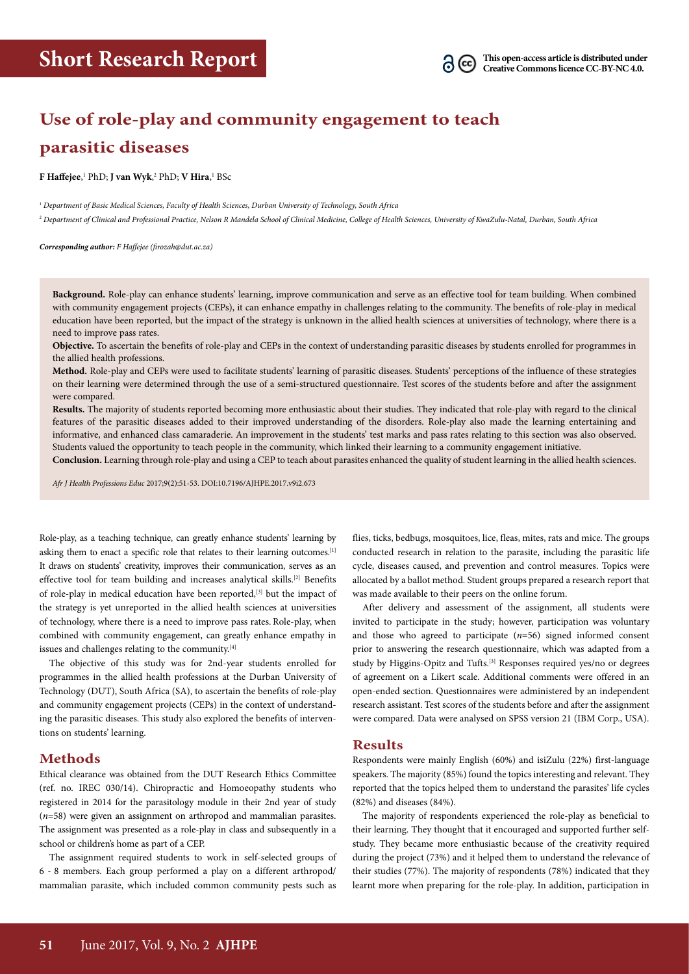

# **Use of role-play and community engagement to teach parasitic diseases**

**F Haffejee,** 1 PhD; **J van Wyk,** 2 PhD; **V Hira,** 1 BSc

<sup>1</sup> *Department of Basic Medical Sciences, Faculty of Health Sciences, Durban University of Technology, South Africa*

2  *Department of Clinical and Professional Practice, Nelson R Mandela School of Clinical Medicine, College of Health Sciences, University of KwaZulu-Natal, Durban, South Africa*

*Corresponding author: F Haffejee (firozah@dut.ac.za)*

**Background.** Role-play can enhance students' learning, improve communication and serve as an effective tool for team building. When combined with community engagement projects (CEPs), it can enhance empathy in challenges relating to the community. The benefits of role-play in medical education have been reported, but the impact of the strategy is unknown in the allied health sciences at universities of technology, where there is a need to improve pass rates.

**Objective.** To ascertain the benefits of role-play and CEPs in the context of understanding parasitic diseases by students enrolled for programmes in the allied health professions.

**Method.** Role-play and CEPs were used to facilitate students' learning of parasitic diseases. Students' perceptions of the influence of these strategies on their learning were determined through the use of a semi-structured questionnaire. Test scores of the students before and after the assignment were compared.

**Results.** The majority of students reported becoming more enthusiastic about their studies. They indicated that role-play with regard to the clinical features of the parasitic diseases added to their improved understanding of the disorders. Role-play also made the learning entertaining and informative, and enhanced class camaraderie. An improvement in the students' test marks and pass rates relating to this section was also observed. Students valued the opportunity to teach people in the community, which linked their learning to a community engagement initiative.

**Conclusion.** Learning through role-play and using a CEP to teach about parasites enhanced the quality of student learning in the allied health sciences.

*Afr J Health Professions Educ* 2017;9(2):51-53. DOI:10.7196/AJHPE.2017.v9i2.673

Role-play, as a teaching technique, can greatly enhance students' learning by asking them to enact a specific role that relates to their learning outcomes.<sup>[1]</sup> It draws on students' creativity, improves their communication, serves as an effective tool for team building and increases analytical skills.<sup>[2]</sup> Benefits of role-play in medical education have been reported,[3] but the impact of the strategy is yet unreported in the allied health sciences at universities of technology, where there is a need to improve pass rates. Role-play, when combined with community engagement, can greatly enhance empathy in issues and challenges relating to the community.[4]

The objective of this study was for 2nd-year students enrolled for programmes in the allied health professions at the Durban University of Technology (DUT), South Africa (SA), to ascertain the benefits of role-play and community engagement projects (CEPs) in the context of understanding the parasitic diseases. This study also explored the benefits of interventions on students' learning.

## **Methods**

Ethical clearance was obtained from the DUT Research Ethics Committee (ref. no. IREC 030/14). Chiropractic and Homoeopathy students who registered in 2014 for the parasitology module in their 2nd year of study (*n*=58) were given an assignment on arthropod and mammalian parasites. The assignment was presented as a role-play in class and subsequently in a school or children's home as part of a CEP.

The assignment required students to work in self-selected groups of 6 - 8 members. Each group performed a play on a different arthropod/ mammalian parasite, which included common community pests such as

flies, ticks, bedbugs, mosquitoes, lice, fleas, mites, rats and mice. The groups conducted research in relation to the parasite, including the parasitic life cycle, diseases caused, and prevention and control measures. Topics were allocated by a ballot method. Student groups prepared a research report that was made available to their peers on the online forum.

After delivery and assessment of the assignment, all students were invited to participate in the study; however, participation was voluntary and those who agreed to participate (*n*=56) signed informed consent prior to answering the research questionnaire, which was adapted from a study by Higgins-Opitz and Tufts.<sup>[3]</sup> Responses required yes/no or degrees of agreement on a Likert scale. Additional comments were offered in an open-ended section. Questionnaires were administered by an independent research assistant. Test scores of the students before and after the assignment were compared. Data were analysed on SPSS version 21 (IBM Corp., USA).

## **Results**

Respondents were mainly English (60%) and isiZulu (22%) first-language speakers. The majority (85%) found the topics interesting and relevant. They reported that the topics helped them to understand the parasites' life cycles (82%) and diseases (84%).

The majority of respondents experienced the role-play as beneficial to their learning. They thought that it encouraged and supported further selfstudy. They became more enthusiastic because of the creativity required during the project (73%) and it helped them to understand the relevance of their studies (77%). The majority of respondents (78%) indicated that they learnt more when preparing for the role-play. In addition, participation in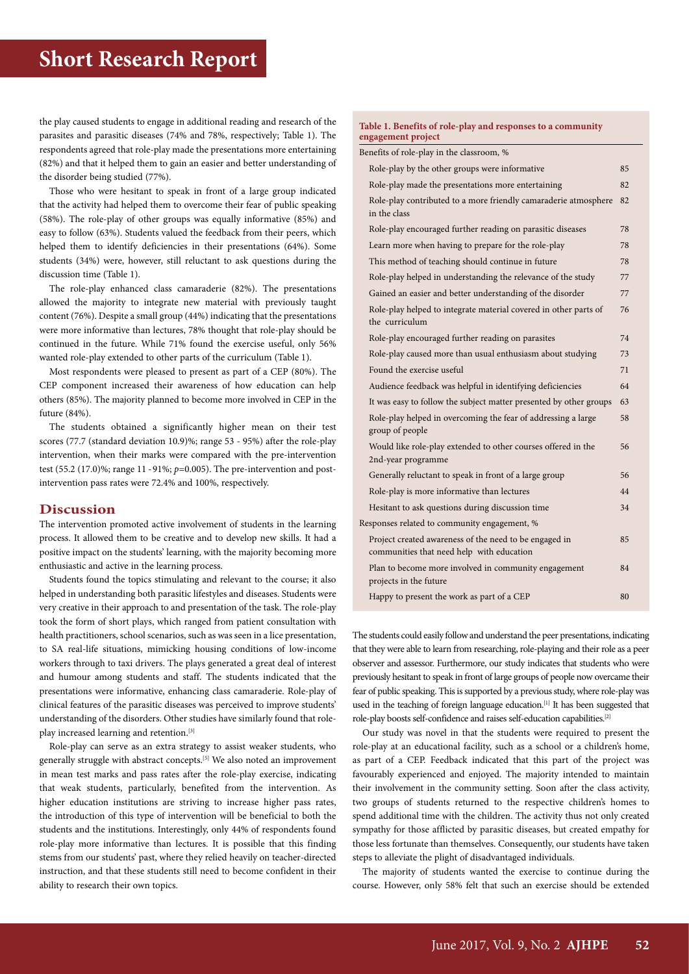the play caused students to engage in additional reading and research of the parasites and parasitic diseases (74% and 78%, respectively; Table 1). The respondents agreed that role-play made the presentations more entertaining (82%) and that it helped them to gain an easier and better understanding of the disorder being studied (77%).

Those who were hesitant to speak in front of a large group indicated that the activity had helped them to overcome their fear of public speaking (58%). The role-play of other groups was equally informative (85%) and easy to follow (63%). Students valued the feedback from their peers, which helped them to identify deficiencies in their presentations (64%). Some students (34%) were, however, still reluctant to ask questions during the discussion time (Table 1).

The role-play enhanced class camaraderie (82%). The presentations allowed the majority to integrate new material with previously taught content (76%). Despite a small group (44%) indicating that the presentations were more informative than lectures, 78% thought that role-play should be continued in the future. While 71% found the exercise useful, only 56% wanted role-play extended to other parts of the curriculum (Table 1).

Most respondents were pleased to present as part of a CEP (80%). The CEP component increased their awareness of how education can help others (85%). The majority planned to become more involved in CEP in the future (84%).

The students obtained a significantly higher mean on their test scores (77.7 (standard deviation 10.9)%; range 53 - 95%) after the role-play intervention, when their marks were compared with the pre-intervention test (55.2 (17.0)%; range 11 - 91%; *p*=0.005). The pre-intervention and postintervention pass rates were 72.4% and 100%, respectively.

#### **Discussion**

The intervention promoted active involvement of students in the learning process. It allowed them to be creative and to develop new skills. It had a positive impact on the students' learning, with the majority becoming more enthusiastic and active in the learning process.

Students found the topics stimulating and relevant to the course; it also helped in understanding both parasitic lifestyles and diseases. Students were very creative in their approach to and presentation of the task. The role-play took the form of short plays, which ranged from patient consultation with health practitioners, school scenarios, such as was seen in a lice presentation, to SA real-life situations, mimicking housing conditions of low-income workers through to taxi drivers. The plays generated a great deal of interest and humour among students and staff. The students indicated that the presentations were informative, enhancing class camaraderie. Role-play of clinical features of the parasitic diseases was perceived to improve students' understanding of the disorders. Other studies have similarly found that roleplay increased learning and retention.[3]

Role-play can serve as an extra strategy to assist weaker students, who generally struggle with abstract concepts.[5] We also noted an improvement in mean test marks and pass rates after the role-play exercise, indicating that weak students, particularly, benefited from the intervention. As higher education institutions are striving to increase higher pass rates, the introduction of this type of intervention will be beneficial to both the students and the institutions. Interestingly, only 44% of respondents found role-play more informative than lectures. It is possible that this finding stems from our students' past, where they relied heavily on teacher-directed instruction, and that these students still need to become confident in their ability to research their own topics.

#### **Table 1. Benefits of role-play and responses to a community engagement project**

| Benefits of role-play in the classroom, %    |                                                                                                     |    |
|----------------------------------------------|-----------------------------------------------------------------------------------------------------|----|
|                                              | Role-play by the other groups were informative                                                      | 85 |
|                                              | Role-play made the presentations more entertaining                                                  | 82 |
|                                              | Role-play contributed to a more friendly camaraderie atmosphere<br>in the class                     | 82 |
|                                              | Role-play encouraged further reading on parasitic diseases                                          | 78 |
|                                              | Learn more when having to prepare for the role-play                                                 | 78 |
|                                              | This method of teaching should continue in future                                                   | 78 |
|                                              | Role-play helped in understanding the relevance of the study                                        | 77 |
|                                              | Gained an easier and better understanding of the disorder                                           | 77 |
|                                              | Role-play helped to integrate material covered in other parts of<br>the curriculum                  | 76 |
|                                              | Role-play encouraged further reading on parasites                                                   | 74 |
|                                              | Role-play caused more than usual enthusiasm about studying                                          | 73 |
|                                              | Found the exercise useful                                                                           | 71 |
|                                              | Audience feedback was helpful in identifying deficiencies                                           | 64 |
|                                              | It was easy to follow the subject matter presented by other groups                                  | 63 |
|                                              | Role-play helped in overcoming the fear of addressing a large<br>group of people                    | 58 |
|                                              | Would like role-play extended to other courses offered in the<br>2nd-year programme                 | 56 |
|                                              | Generally reluctant to speak in front of a large group                                              | 56 |
|                                              | Role-play is more informative than lectures                                                         | 44 |
|                                              | Hesitant to ask questions during discussion time                                                    | 34 |
| Responses related to community engagement, % |                                                                                                     |    |
|                                              | Project created awareness of the need to be engaged in<br>communities that need help with education | 85 |
|                                              | Plan to become more involved in community engagement<br>projects in the future                      | 84 |
|                                              | Happy to present the work as part of a CEP                                                          | 80 |

The students could easily follow and understand the peer presentations, indicating that they were able to learn from researching, role-playing and their role as a peer observer and assessor. Furthermore, our study indicates that students who were previously hesitant to speak in front of large groups of people now overcame their fear of public speaking. This is supported by a previous study, where role-play was used in the teaching of foreign language education.<sup>[1]</sup> It has been suggested that role-play boosts self-confidence and raises self-education capabilities.[2]

Our study was novel in that the students were required to present the role-play at an educational facility, such as a school or a children's home, as part of a CEP. Feedback indicated that this part of the project was favourably experienced and enjoyed. The majority intended to maintain their involvement in the community setting. Soon after the class activity, two groups of students returned to the respective children's homes to spend additional time with the children. The activity thus not only created sympathy for those afflicted by parasitic diseases, but created empathy for those less fortunate than themselves. Consequently, our students have taken steps to alleviate the plight of disadvantaged individuals.

The majority of students wanted the exercise to continue during the course. However, only 58% felt that such an exercise should be extended